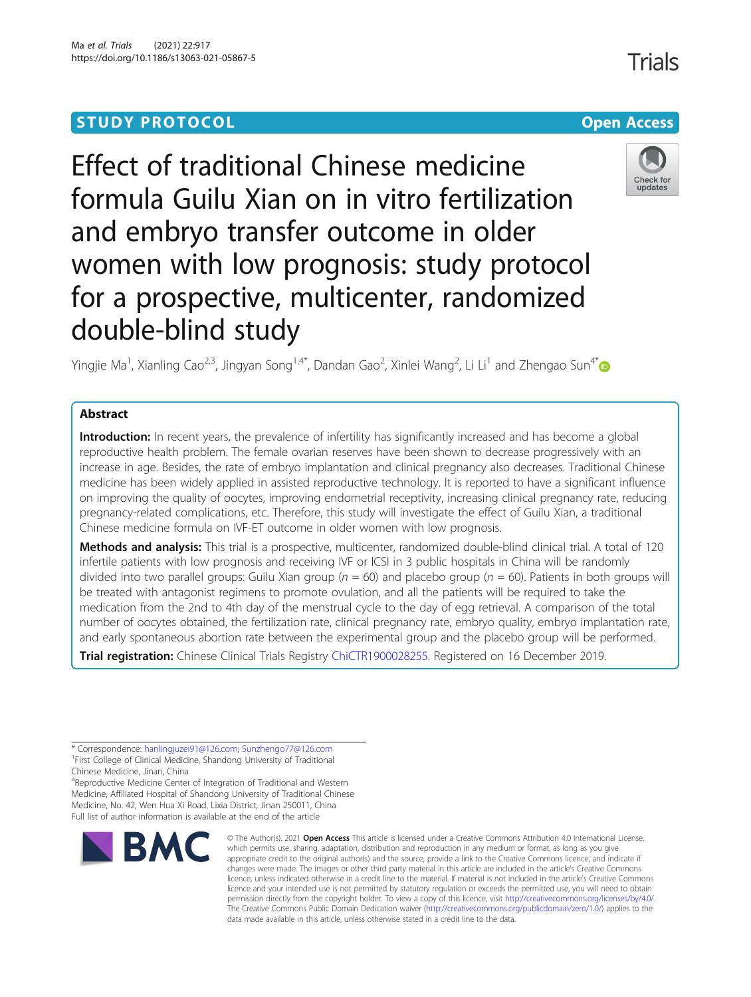# **STUDY PROTOCOL CONSUMING THE CONSUMING OPEN ACCESS**

# Effect of traditional Chinese medicine formula Guilu Xian on in vitro fertilization and embryo transfer outcome in older women with low prognosis: study protocol for a prospective, multicenter, randomized double-blind study

Yingjie Ma<sup>1</sup>, Xianling Cao<sup>2,3</sup>, Jingyan Song<sup>1,4[\\*](http://orcid.org/0000-0002-9723-1213)</sup>, Dandan Gao<sup>2</sup>, Xinlei Wang<sup>2</sup>, Li Li<sup>1</sup> and Zhengao Sun<sup>4\*</sup>

# Abstract

Introduction: In recent years, the prevalence of infertility has significantly increased and has become a global reproductive health problem. The female ovarian reserves have been shown to decrease progressively with an increase in age. Besides, the rate of embryo implantation and clinical pregnancy also decreases. Traditional Chinese medicine has been widely applied in assisted reproductive technology. It is reported to have a significant influence on improving the quality of oocytes, improving endometrial receptivity, increasing clinical pregnancy rate, reducing pregnancy-related complications, etc. Therefore, this study will investigate the effect of Guilu Xian, a traditional Chinese medicine formula on IVF-ET outcome in older women with low prognosis.

Methods and analysis: This trial is a prospective, multicenter, randomized double-blind clinical trial. A total of 120 infertile patients with low prognosis and receiving IVF or ICSI in 3 public hospitals in China will be randomly divided into two parallel groups: Guilu Xian group ( $n = 60$ ) and placebo group ( $n = 60$ ). Patients in both groups will be treated with antagonist regimens to promote ovulation, and all the patients will be required to take the medication from the 2nd to 4th day of the menstrual cycle to the day of egg retrieval. A comparison of the total number of oocytes obtained, the fertilization rate, clinical pregnancy rate, embryo quality, embryo implantation rate, and early spontaneous abortion rate between the experimental group and the placebo group will be performed.

Trial registration: Chinese Clinical Trials Registry [ChiCTR1900028255.](http://www.chictr.org.cn/edit.aspx?pid=47002&htm=4) Registered on 16 December 2019.

\* Correspondence: [hanlingjuzei91@126.com;](mailto:hanlingjuzei91@126.com) [Sunzhengo77@126.com](mailto:Sunzhengo77@126.com) <sup>1</sup> <sup>1</sup> First College of Clinical Medicine, Shandong University of Traditional Chinese Medicine, Jinan, China <sup>4</sup>Reproductive Medicine Center of Integration of Traditional and Western

Medicine, Affiliated Hospital of Shandong University of Traditional Chinese Medicine, No. 42, Wen Hua Xi Road, Lixia District, Jinan 250011, China Full list of author information is available at the end of the article

#### © The Author(s), 2021 **Open Access** This article is licensed under a Creative Commons Attribution 4.0 International License, which permits use, sharing, adaptation, distribution and reproduction in any medium or format, as long as you give appropriate credit to the original author(s) and the source, provide a link to the Creative Commons licence, and indicate if changes were made. The images or other third party material in this article are included in the article's Creative Commons licence, unless indicated otherwise in a credit line to the material. If material is not included in the article's Creative Commons licence and your intended use is not permitted by statutory regulation or exceeds the permitted use, you will need to obtain permission directly from the copyright holder. To view a copy of this licence, visit [http://creativecommons.org/licenses/by/4.0/.](http://creativecommons.org/licenses/by/4.0/) The Creative Commons Public Domain Dedication waiver [\(http://creativecommons.org/publicdomain/zero/1.0/](http://creativecommons.org/publicdomain/zero/1.0/)) applies to the data made available in this article, unless otherwise stated in a credit line to the data.







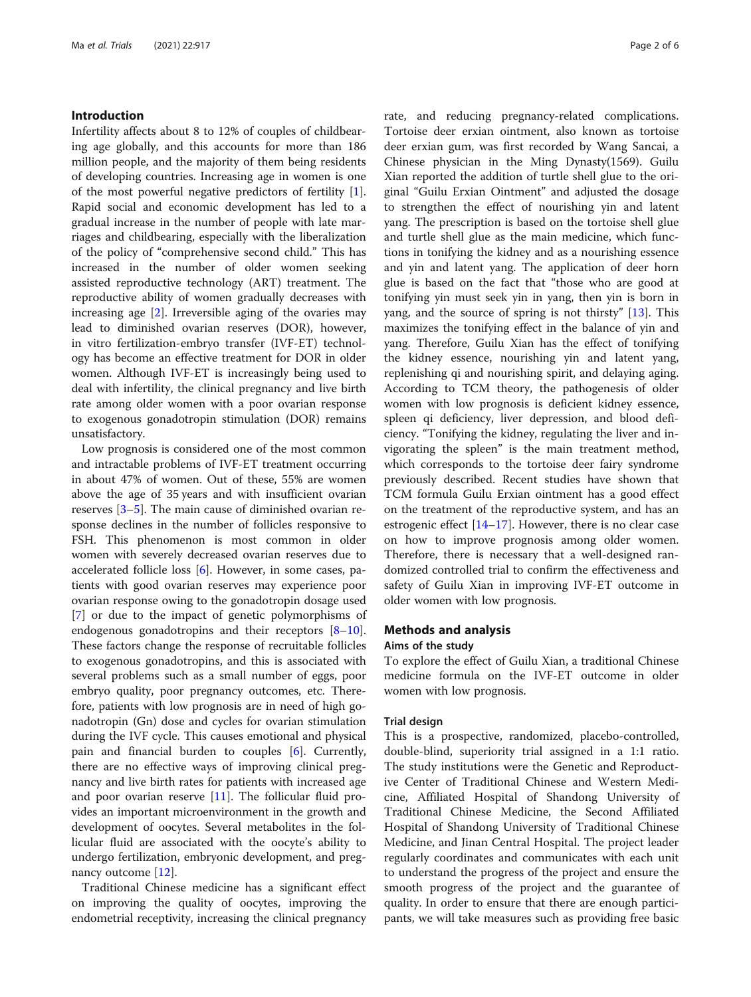# Introduction

Infertility affects about 8 to 12% of couples of childbearing age globally, and this accounts for more than 186 million people, and the majority of them being residents of developing countries. Increasing age in women is one of the most powerful negative predictors of fertility [\[1](#page-5-0)]. Rapid social and economic development has led to a gradual increase in the number of people with late marriages and childbearing, especially with the liberalization of the policy of "comprehensive second child." This has increased in the number of older women seeking assisted reproductive technology (ART) treatment. The reproductive ability of women gradually decreases with increasing age [[2\]](#page-5-0). Irreversible aging of the ovaries may lead to diminished ovarian reserves (DOR), however, in vitro fertilization-embryo transfer (IVF-ET) technology has become an effective treatment for DOR in older women. Although IVF-ET is increasingly being used to deal with infertility, the clinical pregnancy and live birth rate among older women with a poor ovarian response to exogenous gonadotropin stimulation (DOR) remains unsatisfactory.

Low prognosis is considered one of the most common and intractable problems of IVF-ET treatment occurring in about 47% of women. Out of these, 55% are women above the age of 35 years and with insufficient ovarian reserves [\[3](#page-5-0)–[5](#page-5-0)]. The main cause of diminished ovarian response declines in the number of follicles responsive to FSH. This phenomenon is most common in older women with severely decreased ovarian reserves due to accelerated follicle loss [\[6](#page-5-0)]. However, in some cases, patients with good ovarian reserves may experience poor ovarian response owing to the gonadotropin dosage used [[7\]](#page-5-0) or due to the impact of genetic polymorphisms of endogenous gonadotropins and their receptors  $[8-10]$  $[8-10]$  $[8-10]$  $[8-10]$  $[8-10]$ . These factors change the response of recruitable follicles to exogenous gonadotropins, and this is associated with several problems such as a small number of eggs, poor embryo quality, poor pregnancy outcomes, etc. Therefore, patients with low prognosis are in need of high gonadotropin (Gn) dose and cycles for ovarian stimulation during the IVF cycle. This causes emotional and physical pain and financial burden to couples [[6\]](#page-5-0). Currently, there are no effective ways of improving clinical pregnancy and live birth rates for patients with increased age and poor ovarian reserve [[11\]](#page-5-0). The follicular fluid provides an important microenvironment in the growth and development of oocytes. Several metabolites in the follicular fluid are associated with the oocyte's ability to undergo fertilization, embryonic development, and pregnancy outcome [\[12](#page-5-0)].

Traditional Chinese medicine has a significant effect on improving the quality of oocytes, improving the endometrial receptivity, increasing the clinical pregnancy rate, and reducing pregnancy-related complications. Tortoise deer erxian ointment, also known as tortoise deer erxian gum, was first recorded by Wang Sancai, a Chinese physician in the Ming Dynasty(1569). Guilu Xian reported the addition of turtle shell glue to the original "Guilu Erxian Ointment" and adjusted the dosage to strengthen the effect of nourishing yin and latent yang. The prescription is based on the tortoise shell glue and turtle shell glue as the main medicine, which functions in tonifying the kidney and as a nourishing essence and yin and latent yang. The application of deer horn glue is based on the fact that "those who are good at tonifying yin must seek yin in yang, then yin is born in yang, and the source of spring is not thirsty" [\[13](#page-5-0)]. This maximizes the tonifying effect in the balance of yin and yang. Therefore, Guilu Xian has the effect of tonifying the kidney essence, nourishing yin and latent yang, replenishing qi and nourishing spirit, and delaying aging. According to TCM theory, the pathogenesis of older women with low prognosis is deficient kidney essence, spleen qi deficiency, liver depression, and blood deficiency. "Tonifying the kidney, regulating the liver and invigorating the spleen" is the main treatment method, which corresponds to the tortoise deer fairy syndrome previously described. Recent studies have shown that TCM formula Guilu Erxian ointment has a good effect on the treatment of the reproductive system, and has an estrogenic effect  $[14-17]$  $[14-17]$  $[14-17]$ . However, there is no clear case on how to improve prognosis among older women. Therefore, there is necessary that a well-designed randomized controlled trial to confirm the effectiveness and safety of Guilu Xian in improving IVF-ET outcome in older women with low prognosis.

### Methods and analysis

# Aims of the study

To explore the effect of Guilu Xian, a traditional Chinese medicine formula on the IVF-ET outcome in older women with low prognosis.

# Trial design

This is a prospective, randomized, placebo-controlled, double-blind, superiority trial assigned in a 1:1 ratio. The study institutions were the Genetic and Reproductive Center of Traditional Chinese and Western Medicine, Affiliated Hospital of Shandong University of Traditional Chinese Medicine, the Second Affiliated Hospital of Shandong University of Traditional Chinese Medicine, and Jinan Central Hospital. The project leader regularly coordinates and communicates with each unit to understand the progress of the project and ensure the smooth progress of the project and the guarantee of quality. In order to ensure that there are enough participants, we will take measures such as providing free basic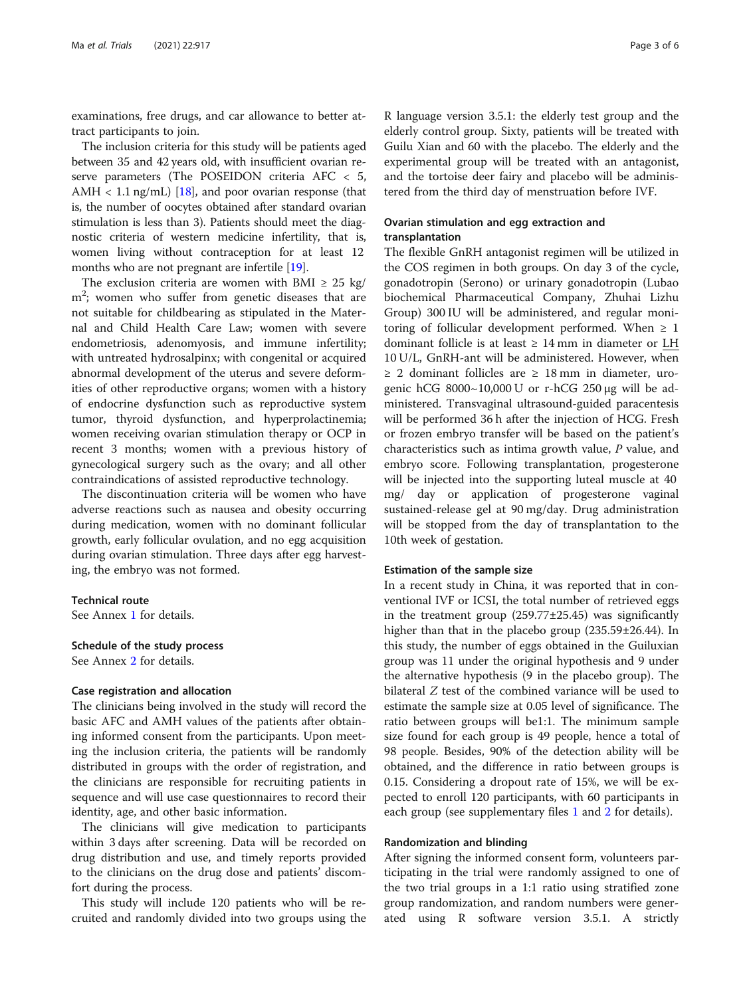examinations, free drugs, and car allowance to better attract participants to join.

The inclusion criteria for this study will be patients aged between 35 and 42 years old, with insufficient ovarian reserve parameters (The POSEIDON criteria AFC < 5, AMH  $< 1.1$  ng/mL) [\[18\]](#page-5-0), and poor ovarian response (that is, the number of oocytes obtained after standard ovarian stimulation is less than 3). Patients should meet the diagnostic criteria of western medicine infertility, that is, women living without contraception for at least 12 months who are not pregnant are infertile [\[19\]](#page-5-0).

The exclusion criteria are women with BMI  $\geq 25$  kg/ m<sup>2</sup>; women who suffer from genetic diseases that are not suitable for childbearing as stipulated in the Maternal and Child Health Care Law; women with severe endometriosis, adenomyosis, and immune infertility; with untreated hydrosalpinx; with congenital or acquired abnormal development of the uterus and severe deformities of other reproductive organs; women with a history of endocrine dysfunction such as reproductive system tumor, thyroid dysfunction, and hyperprolactinemia; women receiving ovarian stimulation therapy or OCP in recent 3 months; women with a previous history of gynecological surgery such as the ovary; and all other contraindications of assisted reproductive technology.

The discontinuation criteria will be women who have adverse reactions such as nausea and obesity occurring during medication, women with no dominant follicular growth, early follicular ovulation, and no egg acquisition during ovarian stimulation. Three days after egg harvesting, the embryo was not formed.

#### Technical route

See Annex [1](#page-4-0) for details.

# Schedule of the study process

See Annex [2](#page-4-0) for details.

# Case registration and allocation

The clinicians being involved in the study will record the basic AFC and AMH values of the patients after obtaining informed consent from the participants. Upon meeting the inclusion criteria, the patients will be randomly distributed in groups with the order of registration, and the clinicians are responsible for recruiting patients in sequence and will use case questionnaires to record their identity, age, and other basic information.

The clinicians will give medication to participants within 3 days after screening. Data will be recorded on drug distribution and use, and timely reports provided to the clinicians on the drug dose and patients' discomfort during the process.

This study will include 120 patients who will be recruited and randomly divided into two groups using the R language version 3.5.1: the elderly test group and the elderly control group. Sixty, patients will be treated with Guilu Xian and 60 with the placebo. The elderly and the experimental group will be treated with an antagonist, and the tortoise deer fairy and placebo will be administered from the third day of menstruation before IVF.

# Ovarian stimulation and egg extraction and transplantation

The flexible GnRH antagonist regimen will be utilized in the COS regimen in both groups. On day 3 of the cycle, gonadotropin (Serono) or urinary gonadotropin (Lubao biochemical Pharmaceutical Company, Zhuhai Lizhu Group) 300 IU will be administered, and regular monitoring of follicular development performed. When  $\geq 1$ dominant follicle is at least  $\geq 14$  mm in diameter or LH 10 U/L, GnRH-ant will be administered. However, when ≥ 2 dominant follicles are ≥ 18 mm in diameter, urogenic hCG  $8000~10,000$  U or r-hCG 250 μg will be administered. Transvaginal ultrasound-guided paracentesis will be performed 36 h after the injection of HCG. Fresh or frozen embryo transfer will be based on the patient's characteristics such as intima growth value,  $P$  value, and embryo score. Following transplantation, progesterone will be injected into the supporting luteal muscle at 40 mg/ day or application of progesterone vaginal sustained-release gel at 90 mg/day. Drug administration will be stopped from the day of transplantation to the 10th week of gestation.

# Estimation of the sample size

In a recent study in China, it was reported that in conventional IVF or ICSI, the total number of retrieved eggs in the treatment group (259.77±25.45) was significantly higher than that in the placebo group (235.59±26.44). In this study, the number of eggs obtained in the Guiluxian group was 11 under the original hypothesis and 9 under the alternative hypothesis (9 in the placebo group). The bilateral Z test of the combined variance will be used to estimate the sample size at 0.05 level of significance. The ratio between groups will be1:1. The minimum sample size found for each group is 49 people, hence a total of 98 people. Besides, 90% of the detection ability will be obtained, and the difference in ratio between groups is 0.15. Considering a dropout rate of 15%, we will be expected to enroll 120 participants, with 60 participants in each group (see supplementary files [1](#page-4-0) and [2](#page-4-0) for details).

# Randomization and blinding

After signing the informed consent form, volunteers participating in the trial were randomly assigned to one of the two trial groups in a 1:1 ratio using stratified zone group randomization, and random numbers were generated using R software version 3.5.1. A strictly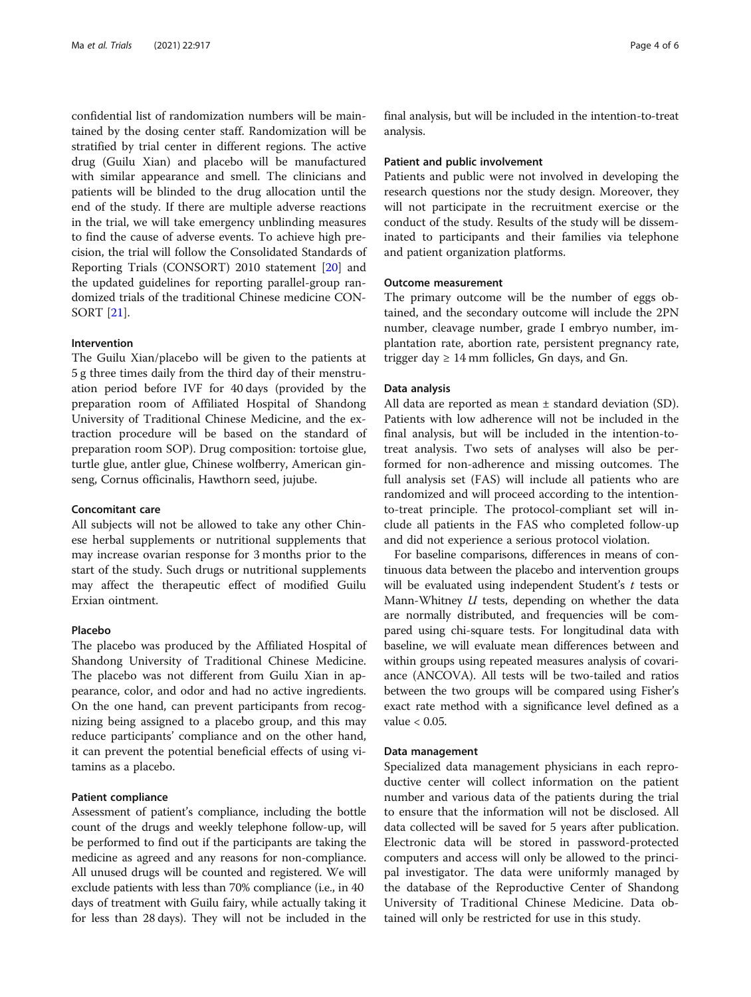confidential list of randomization numbers will be maintained by the dosing center staff. Randomization will be stratified by trial center in different regions. The active drug (Guilu Xian) and placebo will be manufactured with similar appearance and smell. The clinicians and patients will be blinded to the drug allocation until the end of the study. If there are multiple adverse reactions in the trial, we will take emergency unblinding measures to find the cause of adverse events. To achieve high precision, the trial will follow the Consolidated Standards of Reporting Trials (CONSORT) 2010 statement [\[20](#page-5-0)] and the updated guidelines for reporting parallel-group randomized trials of the traditional Chinese medicine CON-SORT [\[21\]](#page-5-0).

# Intervention

The Guilu Xian/placebo will be given to the patients at 5 g three times daily from the third day of their menstruation period before IVF for 40 days (provided by the preparation room of Affiliated Hospital of Shandong University of Traditional Chinese Medicine, and the extraction procedure will be based on the standard of preparation room SOP). Drug composition: tortoise glue, turtle glue, antler glue, Chinese wolfberry, American ginseng, Cornus officinalis, Hawthorn seed, jujube.

# Concomitant care

All subjects will not be allowed to take any other Chinese herbal supplements or nutritional supplements that may increase ovarian response for 3 months prior to the start of the study. Such drugs or nutritional supplements may affect the therapeutic effect of modified Guilu Erxian ointment.

#### Placebo

The placebo was produced by the Affiliated Hospital of Shandong University of Traditional Chinese Medicine. The placebo was not different from Guilu Xian in appearance, color, and odor and had no active ingredients. On the one hand, can prevent participants from recognizing being assigned to a placebo group, and this may reduce participants' compliance and on the other hand, it can prevent the potential beneficial effects of using vitamins as a placebo.

#### Patient compliance

Assessment of patient's compliance, including the bottle count of the drugs and weekly telephone follow-up, will be performed to find out if the participants are taking the medicine as agreed and any reasons for non-compliance. All unused drugs will be counted and registered. We will exclude patients with less than 70% compliance (i.e., in 40 days of treatment with Guilu fairy, while actually taking it for less than 28 days). They will not be included in the final analysis, but will be included in the intention-to-treat analysis.

#### Patient and public involvement

Patients and public were not involved in developing the research questions nor the study design. Moreover, they will not participate in the recruitment exercise or the conduct of the study. Results of the study will be disseminated to participants and their families via telephone and patient organization platforms.

### Outcome measurement

The primary outcome will be the number of eggs obtained, and the secondary outcome will include the 2PN number, cleavage number, grade I embryo number, implantation rate, abortion rate, persistent pregnancy rate, trigger day  $\geq 14$  mm follicles, Gn days, and Gn.

#### Data analysis

All data are reported as mean ± standard deviation (SD). Patients with low adherence will not be included in the final analysis, but will be included in the intention-totreat analysis. Two sets of analyses will also be performed for non-adherence and missing outcomes. The full analysis set (FAS) will include all patients who are randomized and will proceed according to the intentionto-treat principle. The protocol-compliant set will include all patients in the FAS who completed follow-up and did not experience a serious protocol violation.

For baseline comparisons, differences in means of continuous data between the placebo and intervention groups will be evaluated using independent Student's  $t$  tests or Mann-Whitney U tests, depending on whether the data are normally distributed, and frequencies will be compared using chi-square tests. For longitudinal data with baseline, we will evaluate mean differences between and within groups using repeated measures analysis of covariance (ANCOVA). All tests will be two-tailed and ratios between the two groups will be compared using Fisher's exact rate method with a significance level defined as a value < 0.05.

# Data management

Specialized data management physicians in each reproductive center will collect information on the patient number and various data of the patients during the trial to ensure that the information will not be disclosed. All data collected will be saved for 5 years after publication. Electronic data will be stored in password-protected computers and access will only be allowed to the principal investigator. The data were uniformly managed by the database of the Reproductive Center of Shandong University of Traditional Chinese Medicine. Data obtained will only be restricted for use in this study.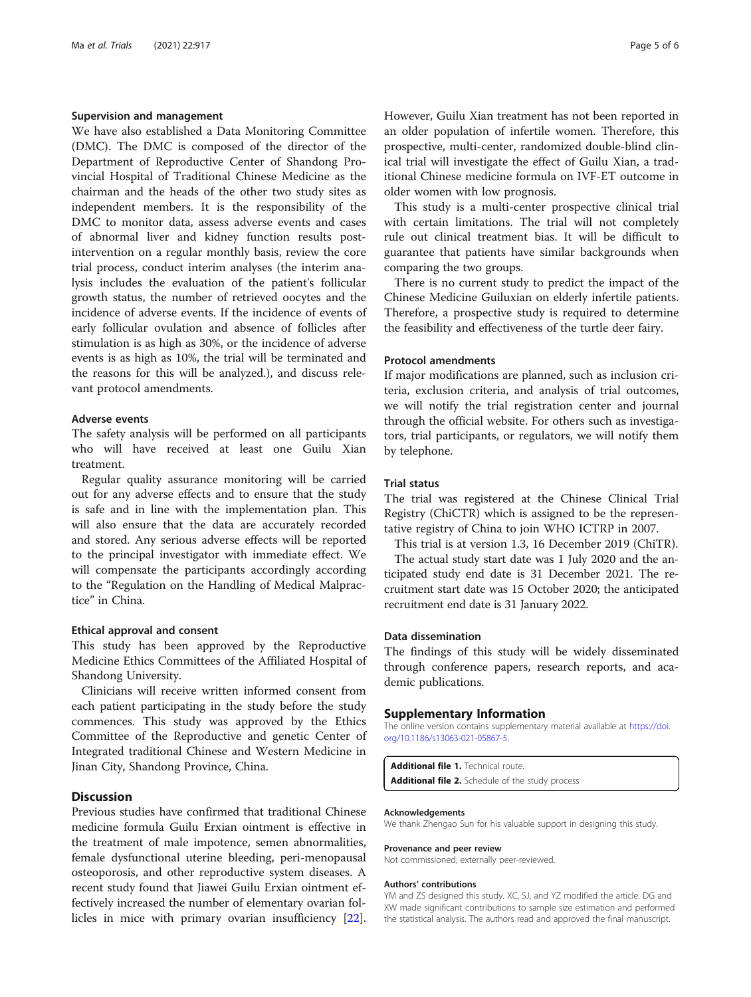#### <span id="page-4-0"></span>Supervision and management

We have also established a Data Monitoring Committee (DMC). The DMC is composed of the director of the Department of Reproductive Center of Shandong Provincial Hospital of Traditional Chinese Medicine as the chairman and the heads of the other two study sites as independent members. It is the responsibility of the DMC to monitor data, assess adverse events and cases of abnormal liver and kidney function results postintervention on a regular monthly basis, review the core trial process, conduct interim analyses (the interim analysis includes the evaluation of the patient's follicular growth status, the number of retrieved oocytes and the incidence of adverse events. If the incidence of events of early follicular ovulation and absence of follicles after stimulation is as high as 30%, or the incidence of adverse events is as high as 10%, the trial will be terminated and the reasons for this will be analyzed.), and discuss relevant protocol amendments.

#### Adverse events

The safety analysis will be performed on all participants who will have received at least one Guilu Xian treatment.

Regular quality assurance monitoring will be carried out for any adverse effects and to ensure that the study is safe and in line with the implementation plan. This will also ensure that the data are accurately recorded and stored. Any serious adverse effects will be reported to the principal investigator with immediate effect. We will compensate the participants accordingly according to the "Regulation on the Handling of Medical Malpractice" in China.

#### Ethical approval and consent

This study has been approved by the Reproductive Medicine Ethics Committees of the Affiliated Hospital of Shandong University.

Clinicians will receive written informed consent from each patient participating in the study before the study commences. This study was approved by the Ethics Committee of the Reproductive and genetic Center of Integrated traditional Chinese and Western Medicine in Jinan City, Shandong Province, China.

# **Discussion**

Previous studies have confirmed that traditional Chinese medicine formula Guilu Erxian ointment is effective in the treatment of male impotence, semen abnormalities, female dysfunctional uterine bleeding, peri-menopausal osteoporosis, and other reproductive system diseases. A recent study found that Jiawei Guilu Erxian ointment effectively increased the number of elementary ovarian follicles in mice with primary ovarian insufficiency [\[22](#page-5-0)]. However, Guilu Xian treatment has not been reported in an older population of infertile women. Therefore, this prospective, multi-center, randomized double-blind clinical trial will investigate the effect of Guilu Xian, a traditional Chinese medicine formula on IVF-ET outcome in older women with low prognosis.

This study is a multi-center prospective clinical trial with certain limitations. The trial will not completely rule out clinical treatment bias. It will be difficult to guarantee that patients have similar backgrounds when comparing the two groups.

There is no current study to predict the impact of the Chinese Medicine Guiluxian on elderly infertile patients. Therefore, a prospective study is required to determine the feasibility and effectiveness of the turtle deer fairy.

# Protocol amendments

If major modifications are planned, such as inclusion criteria, exclusion criteria, and analysis of trial outcomes, we will notify the trial registration center and journal through the official website. For others such as investigators, trial participants, or regulators, we will notify them by telephone.

#### Trial status

The trial was registered at the Chinese Clinical Trial Registry (ChiCTR) which is assigned to be the representative registry of China to join WHO ICTRP in 2007.

This trial is at version 1.3, 16 December 2019 (ChiTR).

The actual study start date was 1 July 2020 and the anticipated study end date is 31 December 2021. The recruitment start date was 15 October 2020; the anticipated recruitment end date is 31 January 2022.

#### Data dissemination

The findings of this study will be widely disseminated through conference papers, research reports, and academic publications.

#### Supplementary Information

The online version contains supplementary material available at [https://doi.](https://doi.org/10.1186/s13063-021-05867-5) [org/10.1186/s13063-021-05867-5.](https://doi.org/10.1186/s13063-021-05867-5)

Additional file 1. Technical route. Additional file 2. Schedule of the study process

#### Acknowledgements

We thank Zhengao Sun for his valuable support in designing this study.

#### Provenance and peer review

Not commissioned; externally peer-reviewed.

#### Authors' contributions

YM and ZS designed this study. XC, SJ, and YZ modified the article. DG and XW made significant contributions to sample size estimation and performed the statistical analysis. The authors read and approved the final manuscript.